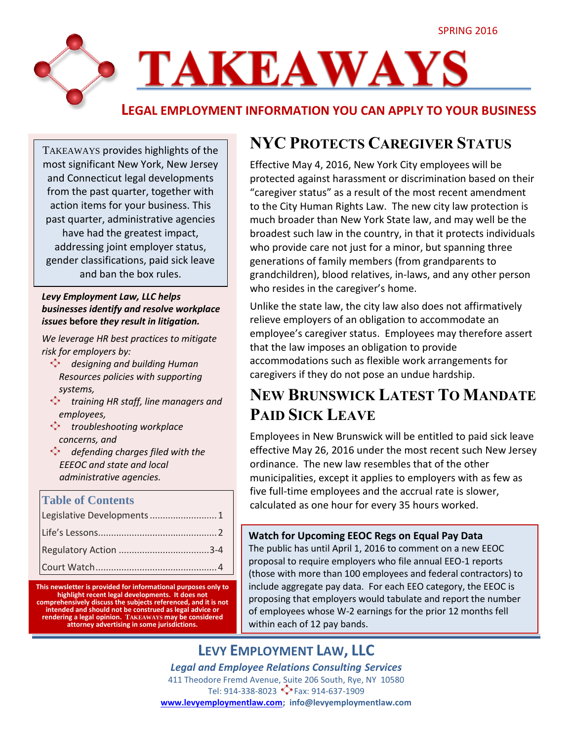

**LEGAL EMPLOYMENT INFORMATION YOU CAN APPLY TO YOUR BUSINESS**

TAKEAWAYS provides highlights of the most significant New York, New Jersey and Connecticut legal developments from the past quarter, together with action items for your business. This past quarter, administrative agencies have had the greatest impact, addressing joint employer status, gender classifications, paid sick leave and ban the box rules.

#### *Levy Employment Law, LLC helps businesses identify and resolve workplace issues* **before** *they result in litigation.*

*We leverage HR best practices to mitigate risk for employers by:*

- *designing and building Human Resources policies with supporting systems,*
- **training HR staff, line managers and** *employees,*
- *troubleshooting workplace concerns, and*
- *defending charges filed with the EEEOC and state and local administrative agencies.*

#### **Table of Contents**

| Legislative Developments 1 |
|----------------------------|
|                            |
|                            |
|                            |

**This newsletter is provided for informational purposes only to highlight recent legal developments. It does not comprehensively discuss the subjects referenced, and it is not intended and should not be construed as legal advice or rendering a legal opinion. TAKEAWAYS may be considered attorney advertising in some jurisdictions.**

# **NYC PROTECTS CAREGIVER STATUS**

Effective May 4, 2016, New York City employees will be protected against harassment or discrimination based on their "caregiver status" as a result of the most recent amendment to the City Human Rights Law. The new city law protection is much broader than New York State law, and may well be the broadest such law in the country, in that it protects individuals who provide care not just for a minor, but spanning three generations of family members (from grandparents to grandchildren), blood relatives, in-laws, and any other person who resides in the caregiver's home.

Unlike the state law, the city law also does not affirmatively relieve employers of an obligation to accommodate an employee's caregiver status. Employees may therefore assert that the law imposes an obligation to provide accommodations such as flexible work arrangements for caregivers if they do not pose an undue hardship.

# **NEW BRUNSWICK LATEST TO MANDATE PAID SICK LEAVE**

Employees in New Brunswick will be entitled to paid sick leave effective May 26, 2016 under the most recent such New Jersey ordinance. The new law resembles that of the other municipalities, except it applies to employers with as few as five full-time employees and the accrual rate is slower, calculated as one hour for every 35 hours worked.

#### **Watch for Upcoming EEOC Regs on Equal Pay Data**

The public has until April 1, 2016 to comment on a new EEOC proposal to require employers who file annual EEO-1 reports (those with more than 100 employees and federal contractors) to include aggregate pay data. For each EEO category, the EEOC is proposing that employers would tabulate and report the number of employees whose W-2 earnings for the prior 12 months fell within each of 12 pay bands.

## **LEVY EMPLOYMENT LAW, LLC**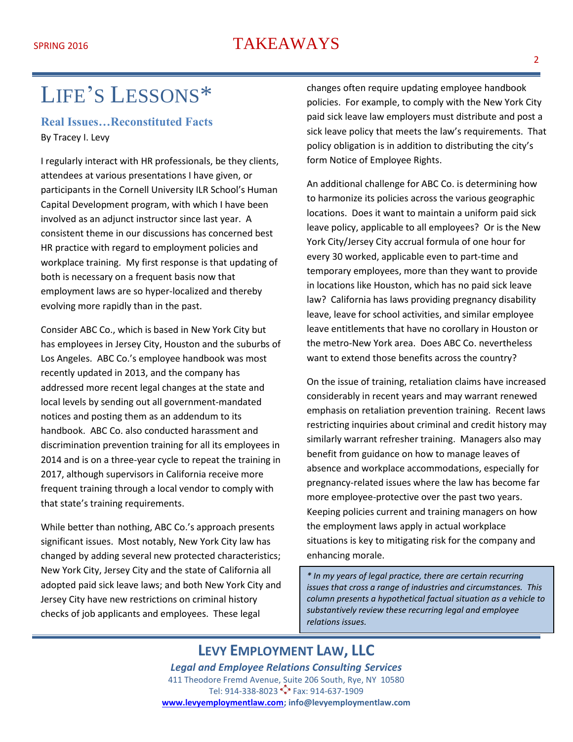## SPRING 2016 TAKEAWAYS

# LIFE'S LESSONS\*

#### **Real Issues…Reconstituted Facts** By Tracey I. Levy

I regularly interact with HR professionals, be they clients, attendees at various presentations I have given, or participants in the Cornell University ILR School's Human Capital Development program, with which I have been involved as an adjunct instructor since last year. A consistent theme in our discussions has concerned best HR practice with regard to employment policies and workplace training. My first response is that updating of both is necessary on a frequent basis now that employment laws are so hyper-localized and thereby evolving more rapidly than in the past.

Consider ABC Co., which is based in New York City but has employees in Jersey City, Houston and the suburbs of Los Angeles. ABC Co.'s employee handbook was most recently updated in 2013, and the company has addressed more recent legal changes at the state and local levels by sending out all government-mandated notices and posting them as an addendum to its handbook. ABC Co. also conducted harassment and discrimination prevention training for all its employees in 2014 and is on a three-year cycle to repeat the training in 2017, although supervisors in California receive more frequent training through a local vendor to comply with that state's training requirements.

While better than nothing, ABC Co.'s approach presents significant issues. Most notably, New York City law has changed by adding several new protected characteristics; New York City, Jersey City and the state of California all adopted paid sick leave laws; and both New York City and Jersey City have new restrictions on criminal history checks of job applicants and employees. These legal

changes often require updating employee handbook policies. For example, to comply with the New York City paid sick leave law employers must distribute and post a sick leave policy that meets the law's requirements. That policy obligation is in addition to distributing the city's form Notice of Employee Rights.

An additional challenge for ABC Co. is determining how to harmonize its policies across the various geographic locations. Does it want to maintain a uniform paid sick leave policy, applicable to all employees? Or is the New York City/Jersey City accrual formula of one hour for every 30 worked, applicable even to part-time and temporary employees, more than they want to provide in locations like Houston, which has no paid sick leave law? California has laws providing pregnancy disability leave, leave for school activities, and similar employee leave entitlements that have no corollary in Houston or the metro-New York area. Does ABC Co. nevertheless want to extend those benefits across the country?

On the issue of training, retaliation claims have increased considerably in recent years and may warrant renewed emphasis on retaliation prevention training. Recent laws restricting inquiries about criminal and credit history may similarly warrant refresher training. Managers also may benefit from guidance on how to manage leaves of absence and workplace accommodations, especially for pregnancy-related issues where the law has become far more employee-protective over the past two years. Keeping policies current and training managers on how the employment laws apply in actual workplace situations is key to mitigating risk for the company and enhancing morale.

*\* In my years of legal practice, there are certain recurring issues that cross a range of industries and circumstances. This column presents a hypothetical factual situation as a vehicle to substantively review these recurring legal and employee relations issues.*

## **LEVY EMPLOYMENT LAW, LLC**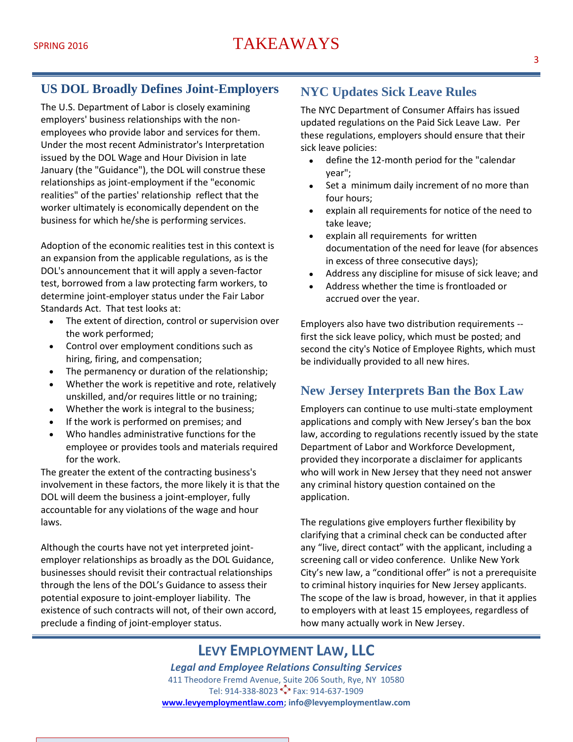## **US DOL Broadly Defines Joint-Employers**

The U.S. Department of Labor is closely examining employers' business relationships with the nonemployees who provide labor and services for them. Under the most recent Administrator's Interpretation issued by the DOL Wage and Hour Division in late January (the "Guidance"), the DOL will construe these relationships as joint-employment if the "economic realities" of the parties' relationship reflect that the worker ultimately is economically dependent on the business for which he/she is performing services.

Adoption of the economic realities test in this context is an expansion from the applicable regulations, as is the DOL's announcement that it will apply a seven-factor test, borrowed from a law protecting farm workers, to determine joint-employer status under the Fair Labor Standards Act. That test looks at:

- The extent of direction, control or supervision over the work performed;
- Control over employment conditions such as hiring, firing, and compensation;
- The permanency or duration of the relationship;
- Whether the work is repetitive and rote, relatively unskilled, and/or requires little or no training;
- Whether the work is integral to the business;
- If the work is performed on premises; and
- Who handles administrative functions for the employee or provides tools and materials required for the work.

The greater the extent of the contracting business's involvement in these factors, the more likely it is that the DOL will deem the business a joint-employer, fully accountable for any violations of the wage and hour laws.

Although the courts have not yet interpreted jointemployer relationships as broadly as the DOL Guidance, businesses should revisit their contractual relationships through the lens of the DOL's Guidance to assess their potential exposure to joint-employer liability. The existence of such contracts will not, of their own accord, preclude a finding of joint-employer status.

## **NYC Updates Sick Leave Rules**

The NYC Department of Consumer Affairs has issued updated regulations on the Paid Sick Leave Law. Per these regulations, employers should ensure that their sick leave policies:

- define the 12-month period for the "calendar year";
- Set a minimum daily increment of no more than four hours;
- explain all requirements for notice of the need to take leave;
- explain all requirements for written documentation of the need for leave (for absences in excess of three consecutive days);
- Address any discipline for misuse of sick leave; and
- Address whether the time is frontloaded or accrued over the year.

Employers also have two distribution requirements - first the sick leave policy, which must be posted; and second the city's Notice of Employee Rights, which must be individually provided to all new hires.

#### **New Jersey Interprets Ban the Box Law**

Employers can continue to use multi-state employment applications and comply with New Jersey's ban the box law, according to regulations recently issued by the state Department of Labor and Workforce Development, provided they incorporate a disclaimer for applicants who will work in New Jersey that they need not answer any criminal history question contained on the application.

The regulations give employers further flexibility by clarifying that a criminal check can be conducted after any "live, direct contact" with the applicant, including a screening call or video conference. Unlike New York City's new law, a "conditional offer" is not a prerequisite to criminal history inquiries for New Jersey applicants. The scope of the law is broad, however, in that it applies to employers with at least 15 employees, regardless of how many actually work in New Jersey.

## **LEVY EMPLOYMENT LAW, LLC**